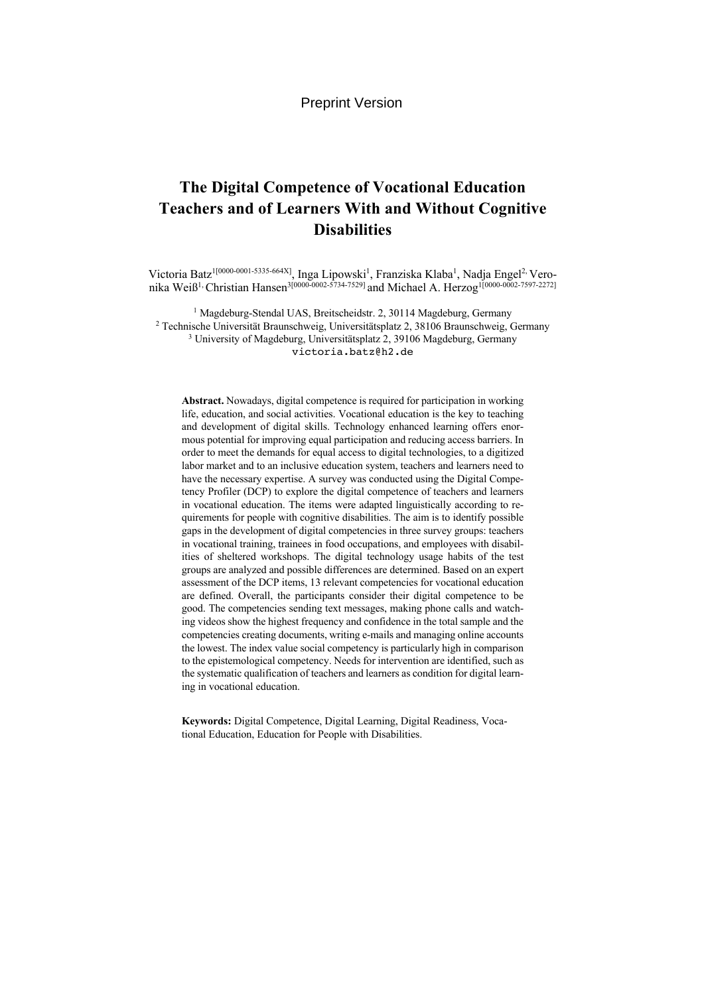# **The Digital Competence of Vocational Education Teachers and of Learners With and Without Cognitive Disabilities**

Victoria Batz<sup>1[0000-0001-5335-664X]</sup>, Inga Lipowski<sup>1</sup>, Franziska Klaba<sup>1</sup>, Nadja Engel<sup>2,</sup> Veronika Weiß<sup>1,</sup> Christian Hansen<sup>3[0000-0002-5734-7529] and Michael A. Herzog<sup>1[0000-0002-7597-2272]</sup></sup>

<sup>1</sup> Magdeburg-Stendal UAS, Breitscheidstr. 2, 30114 Magdeburg, Germany <sup>2</sup> Technische Universität Braunschweig, Universitätsplatz 2, 38106 Braunschweig, Germany <sup>3</sup> University of Magdeburg, Universitätsplatz 2, 39106 Magdeburg, Germany victoria.batz@h2.de

**Abstract.** Nowadays, digital competence is required for participation in working life, education, and social activities. Vocational education is the key to teaching and development of digital skills. Technology enhanced learning offers enormous potential for improving equal participation and reducing access barriers. In order to meet the demands for equal access to digital technologies, to a digitized labor market and to an inclusive education system, teachers and learners need to have the necessary expertise. A survey was conducted using the Digital Competency Profiler (DCP) to explore the digital competence of teachers and learners in vocational education. The items were adapted linguistically according to requirements for people with cognitive disabilities. The aim is to identify possible gaps in the development of digital competencies in three survey groups: teachers in vocational training, trainees in food occupations, and employees with disabilities of sheltered workshops. The digital technology usage habits of the test groups are analyzed and possible differences are determined. Based on an expert assessment of the DCP items, 13 relevant competencies for vocational education are defined. Overall, the participants consider their digital competence to be good. The competencies sending text messages, making phone calls and watching videos show the highest frequency and confidence in the total sample and the competencies creating documents, writing e-mails and managing online accounts the lowest. The index value social competency is particularly high in comparison to the epistemological competency. Needs for intervention are identified, such as the systematic qualification of teachers and learners as condition for digital learning in vocational education.

**Keywords:** Digital Competence, Digital Learning, Digital Readiness, Vocational Education, Education for People with Disabilities.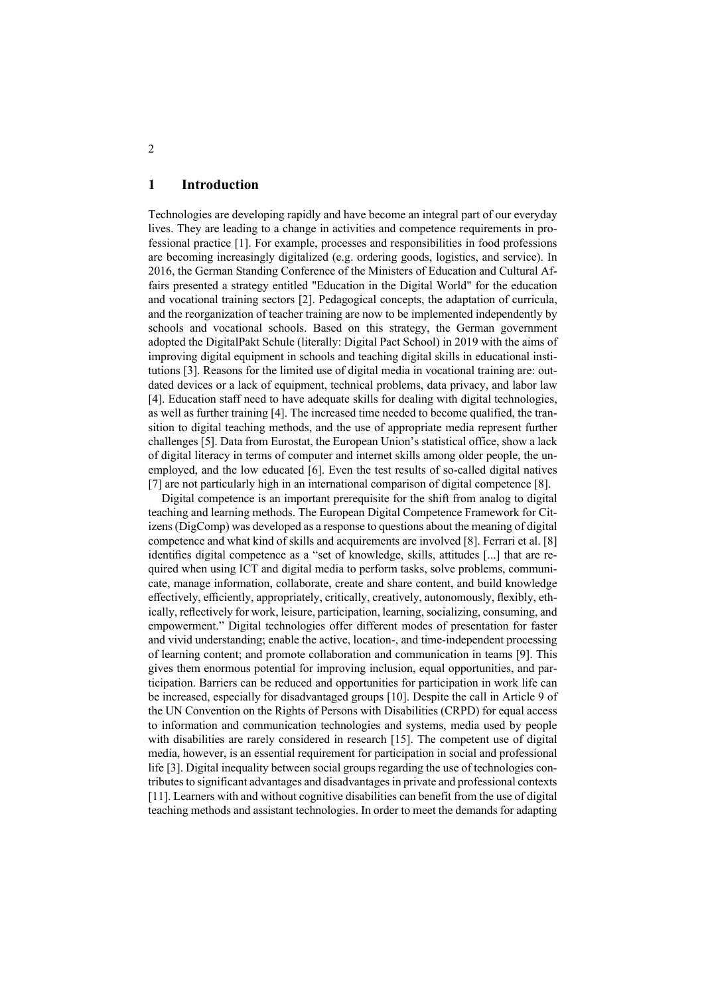# **1 Introduction**

Technologies are developing rapidly and have become an integral part of our everyday lives. They are leading to a change in activities and competence requirements in professional practice [1]. For example, processes and responsibilities in food professions are becoming increasingly digitalized (e.g. ordering goods, logistics, and service). In 2016, the German Standing Conference of the Ministers of Education and Cultural Affairs presented a strategy entitled "Education in the Digital World" for the education and vocational training sectors [2]. Pedagogical concepts, the adaptation of curricula, and the reorganization of teacher training are now to be implemented independently by schools and vocational schools. Based on this strategy, the German government adopted the DigitalPakt Schule (literally: Digital Pact School) in 2019 with the aims of improving digital equipment in schools and teaching digital skills in educational institutions [3]. Reasons for the limited use of digital media in vocational training are: outdated devices or a lack of equipment, technical problems, data privacy, and labor law [4]. Education staff need to have adequate skills for dealing with digital technologies, as well as further training [4]. The increased time needed to become qualified, the transition to digital teaching methods, and the use of appropriate media represent further challenges [5]. Data from Eurostat, the European Union's statistical office, show a lack of digital literacy in terms of computer and internet skills among older people, the unemployed, and the low educated [6]. Even the test results of so-called digital natives [7] are not particularly high in an international comparison of digital competence [8].

Digital competence is an important prerequisite for the shift from analog to digital teaching and learning methods. The European Digital Competence Framework for Citizens (DigComp) was developed as a response to questions about the meaning of digital competence and what kind of skills and acquirements are involved [8]. Ferrari et al. [8] identifies digital competence as a "set of knowledge, skills, attitudes [...] that are required when using ICT and digital media to perform tasks, solve problems, communicate, manage information, collaborate, create and share content, and build knowledge effectively, efficiently, appropriately, critically, creatively, autonomously, flexibly, ethically, reflectively for work, leisure, participation, learning, socializing, consuming, and empowerment." Digital technologies offer different modes of presentation for faster and vivid understanding; enable the active, location-, and time-independent processing of learning content; and promote collaboration and communication in teams [9]. This gives them enormous potential for improving inclusion, equal opportunities, and participation. Barriers can be reduced and opportunities for participation in work life can be increased, especially for disadvantaged groups [10]. Despite the call in Article 9 of the UN Convention on the Rights of Persons with Disabilities (CRPD) for equal access to information and communication technologies and systems, media used by people with disabilities are rarely considered in research [15]. The competent use of digital media, however, is an essential requirement for participation in social and professional life [3]. Digital inequality between social groups regarding the use of technologies contributes to significant advantages and disadvantages in private and professional contexts [11]. Learners with and without cognitive disabilities can benefit from the use of digital teaching methods and assistant technologies. In order to meet the demands for adapting

2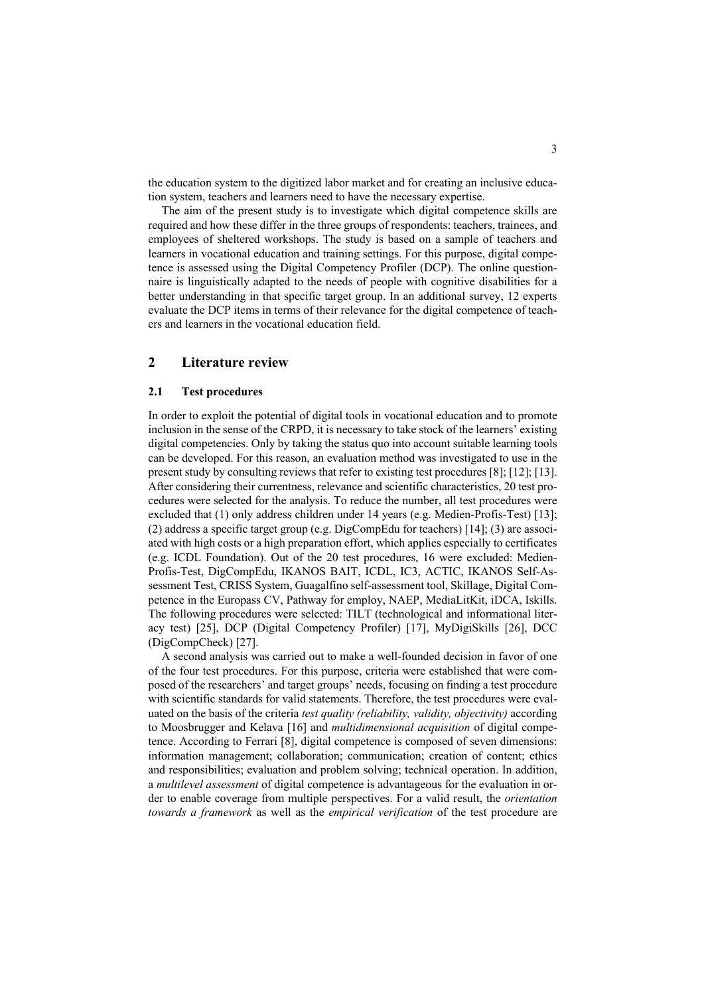the education system to the digitized labor market and for creating an inclusive education system, teachers and learners need to have the necessary expertise.

The aim of the present study is to investigate which digital competence skills are required and how these differ in the three groups of respondents: teachers, trainees, and employees of sheltered workshops. The study is based on a sample of teachers and learners in vocational education and training settings. For this purpose, digital competence is assessed using the Digital Competency Profiler (DCP). The online questionnaire is linguistically adapted to the needs of people with cognitive disabilities for a better understanding in that specific target group. In an additional survey, 12 experts evaluate the DCP items in terms of their relevance for the digital competence of teachers and learners in the vocational education field.

# **2 Literature review**

## **2.1 Test procedures**

In order to exploit the potential of digital tools in vocational education and to promote inclusion in the sense of the CRPD, it is necessary to take stock of the learners' existing digital competencies. Only by taking the status quo into account suitable learning tools can be developed. For this reason, an evaluation method was investigated to use in the present study by consulting reviews that refer to existing test procedures [8]; [12]; [13]. After considering their currentness, relevance and scientific characteristics, 20 test procedures were selected for the analysis. To reduce the number, all test procedures were excluded that (1) only address children under 14 years (e.g. Medien-Profis-Test) [13]; (2) address a specific target group (e.g. DigCompEdu for teachers) [14]; (3) are associated with high costs or a high preparation effort, which applies especially to certificates (e.g. ICDL Foundation). Out of the 20 test procedures, 16 were excluded: Medien-Profis-Test, DigCompEdu, IKANOS BAIT, ICDL, IC3, ACTIC, IKANOS Self-Assessment Test, CRISS System, Guagalfino self-assessment tool, Skillage, Digital Competence in the Europass CV, Pathway for employ, NAEP, MediaLitKit, iDCA, Iskills. The following procedures were selected: TILT (technological and informational literacy test) [25], DCP (Digital Competency Profiler) [17], MyDigiSkills [26], DCC (DigCompCheck) [27].

A second analysis was carried out to make a well-founded decision in favor of one of the four test procedures. For this purpose, criteria were established that were composed of the researchers' and target groups' needs, focusing on finding a test procedure with scientific standards for valid statements. Therefore, the test procedures were evaluated on the basis of the criteria *test quality (reliability, validity, objectivity)* according to Moosbrugger and Kelava [16] and *multidimensional acquisition* of digital competence. According to Ferrari [8], digital competence is composed of seven dimensions: information management; collaboration; communication; creation of content; ethics and responsibilities; evaluation and problem solving; technical operation. In addition, a *multilevel assessment* of digital competence is advantageous for the evaluation in order to enable coverage from multiple perspectives. For a valid result, the *orientation towards a framework* as well as the *empirical verification* of the test procedure are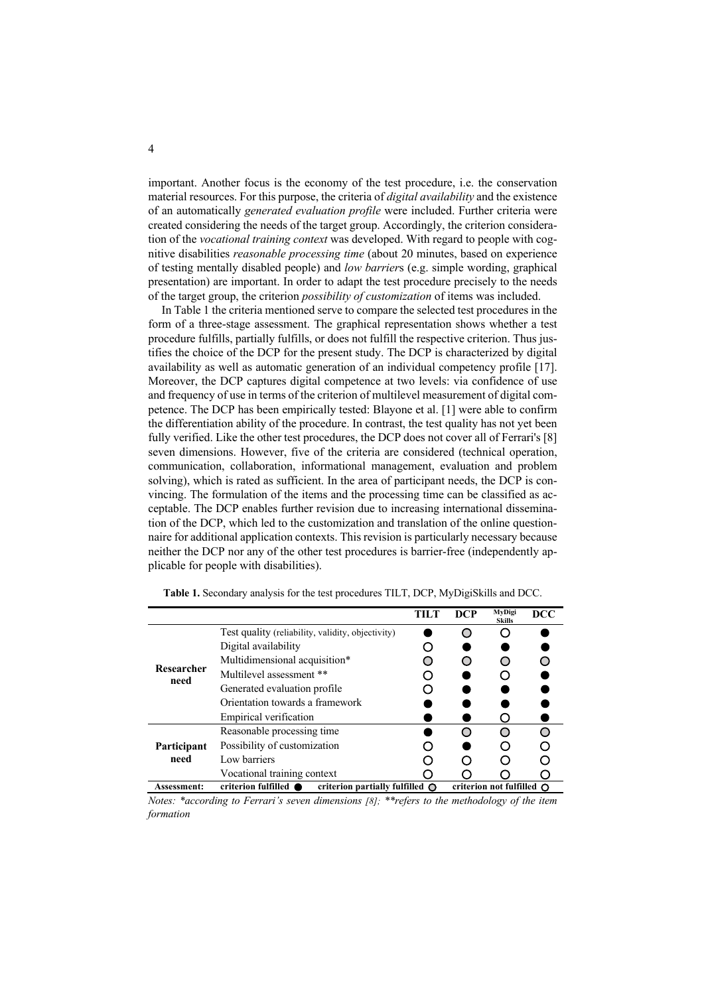important. Another focus is the economy of the test procedure, i.e. the conservation material resources. For this purpose, the criteria of *digital availability* and the existence of an automatically *generated evaluation profile* were included. Further criteria were created considering the needs of the target group. Accordingly, the criterion consideration of the *vocational training context* was developed. With regard to people with cognitive disabilities *reasonable processing time* (about 20 minutes, based on experience of testing mentally disabled people) and *low barrier*s (e.g. simple wording, graphical presentation) are important. In order to adapt the test procedure precisely to the needs of the target group, the criterion *possibility of customization* of items was included.

In Table 1 the criteria mentioned serve to compare the selected test procedures in the form of a three-stage assessment. The graphical representation shows whether a test procedure fulfills, partially fulfills, or does not fulfill the respective criterion. Thus justifies the choice of the DCP for the present study. The DCP is characterized by digital availability as well as automatic generation of an individual competency profile [17]. Moreover, the DCP captures digital competence at two levels: via confidence of use and frequency of use in terms of the criterion of multilevel measurement of digital competence. The DCP has been empirically tested: Blayone et al. [1] were able to confirm the differentiation ability of the procedure. In contrast, the test quality has not yet been fully verified. Like the other test procedures, the DCP does not cover all of Ferrari's [8] seven dimensions. However, five of the criteria are considered (technical operation, communication, collaboration, informational management, evaluation and problem solving), which is rated as sufficient. In the area of participant needs, the DCP is convincing. The formulation of the items and the processing time can be classified as acceptable. The DCP enables further revision due to increasing international dissemination of the DCP, which led to the customization and translation of the online questionnaire for additional application contexts. This revision is particularly necessary because neither the DCP nor any of the other test procedures is barrier-free (independently applicable for people with disabilities).

|                    |                                                                                                      | TILT | DCP | MyDigi<br><b>Skills</b> | DCC |
|--------------------|------------------------------------------------------------------------------------------------------|------|-----|-------------------------|-----|
|                    | Test quality (reliability, validity, objectivity)                                                    |      |     |                         |     |
|                    | Digital availability                                                                                 |      |     |                         |     |
|                    | Multidimensional acquisition*                                                                        |      |     |                         |     |
| Researcher<br>need | Multilevel assessment **                                                                             |      |     |                         |     |
|                    | Generated evaluation profile                                                                         |      |     |                         |     |
|                    | Orientation towards a framework                                                                      |      |     |                         |     |
|                    | Empirical verification                                                                               |      |     |                         |     |
|                    | Reasonable processing time                                                                           |      |     |                         |     |
| Participant        | Possibility of customization                                                                         |      |     |                         |     |
| need               | Low barriers                                                                                         |      |     |                         |     |
|                    | Vocational training context                                                                          |      |     |                         |     |
| <b>Assessment:</b> | criterion fulfilled ●<br>criterion partially fulfilled $\bigcap$<br>criterion not fulfilled $\Omega$ |      |     |                         |     |

**Table 1.** Secondary analysis for the test procedures TILT, DCP, MyDigiSkills and DCC.

*Notes: \*according to Ferrari's seven dimensions [8]; \*\*refers to the methodology of the item formation*

4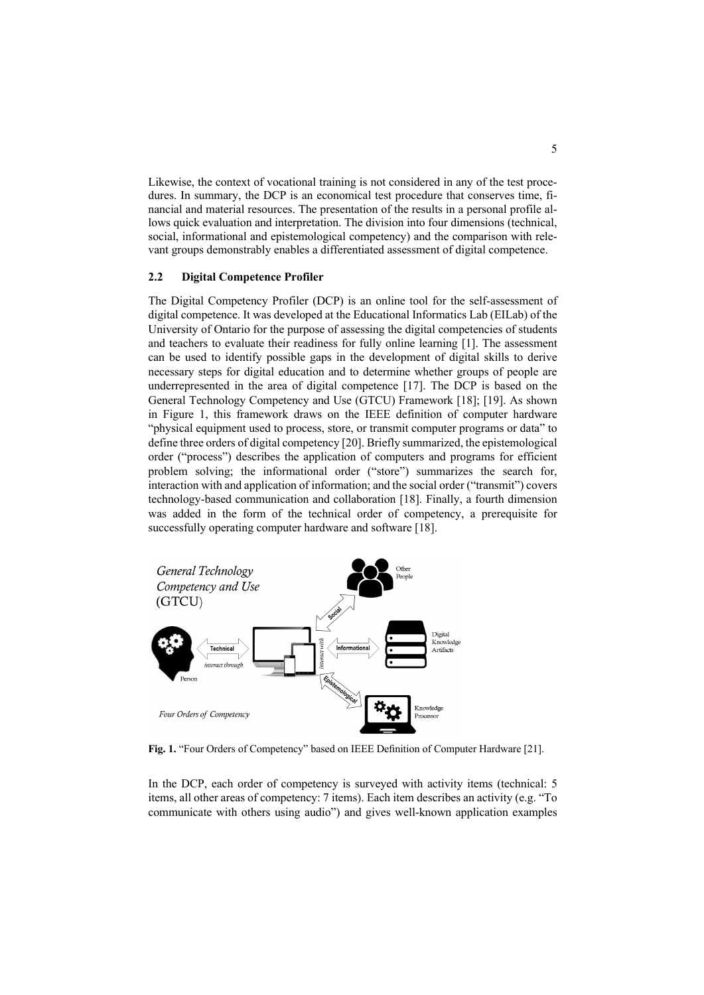Likewise, the context of vocational training is not considered in any of the test procedures. In summary, the DCP is an economical test procedure that conserves time, financial and material resources. The presentation of the results in a personal profile allows quick evaluation and interpretation. The division into four dimensions (technical, social, informational and epistemological competency) and the comparison with relevant groups demonstrably enables a differentiated assessment of digital competence.

## **2.2 Digital Competence Profiler**

The Digital Competency Profiler (DCP) is an online tool for the self-assessment of digital competence. It was developed at the Educational Informatics Lab (EILab) of the University of Ontario for the purpose of assessing the digital competencies of students and teachers to evaluate their readiness for fully online learning [1]. The assessment can be used to identify possible gaps in the development of digital skills to derive necessary steps for digital education and to determine whether groups of people are underrepresented in the area of digital competence [17]. The DCP is based on the General Technology Competency and Use (GTCU) Framework [18]; [19]. As shown in Figure 1, this framework draws on the IEEE definition of computer hardware "physical equipment used to process, store, or transmit computer programs or data" to define three orders of digital competency [20]. Briefly summarized, the epistemological order ("process") describes the application of computers and programs for efficient problem solving; the informational order ("store") summarizes the search for, interaction with and application of information; and the social order ("transmit") covers technology-based communication and collaboration [18]. Finally, a fourth dimension was added in the form of the technical order of competency, a prerequisite for successfully operating computer hardware and software [18].



**Fig. 1.** "Four Orders of Competency" based on IEEE Definition of Computer Hardware [21].

In the DCP, each order of competency is surveyed with activity items (technical: 5 items, all other areas of competency: 7 items). Each item describes an activity (e.g. "To communicate with others using audio") and gives well-known application examples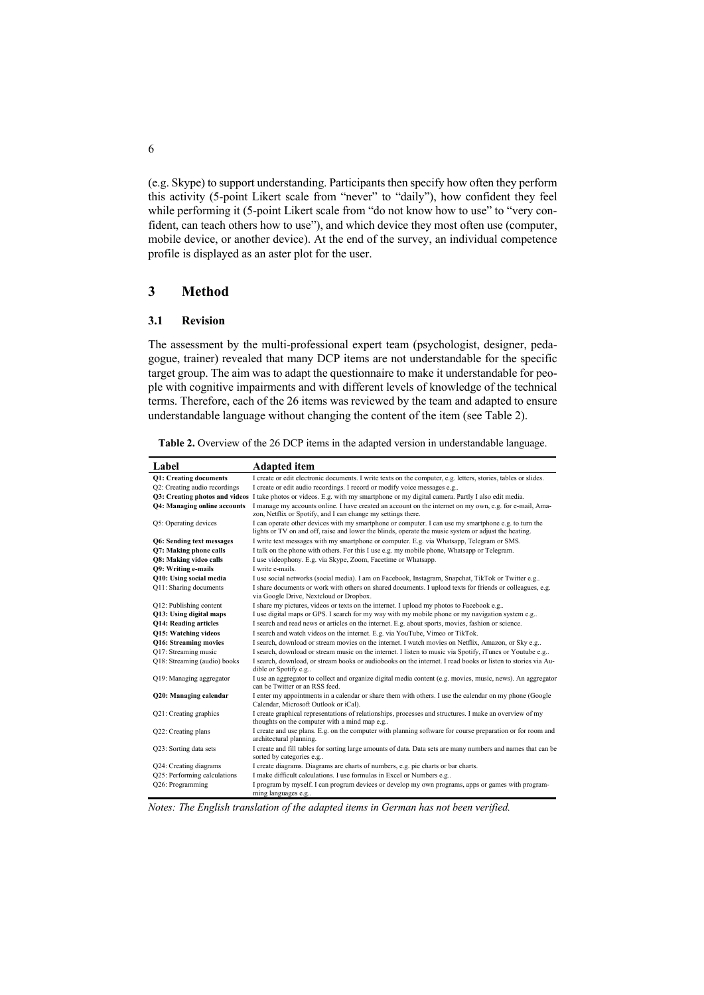(e.g. Skype) to support understanding. Participants then specify how often they perform this activity (5-point Likert scale from "never" to "daily"), how confident they feel while performing it (5-point Likert scale from "do not know how to use" to "very confident, can teach others how to use"), and which device they most often use (computer, mobile device, or another device). At the end of the survey, an individual competence profile is displayed as an aster plot for the user.

# **3 Method**

#### **3.1 Revision**

The assessment by the multi-professional expert team (psychologist, designer, pedagogue, trainer) revealed that many DCP items are not understandable for the specific target group. The aim was to adapt the questionnaire to make it understandable for people with cognitive impairments and with different levels of knowledge of the technical terms. Therefore, each of the 26 items was reviewed by the team and adapted to ensure understandable language without changing the content of the item (see Table 2).

| Table 2. Overview of the 26 DCP items in the adapted version in understandable language. |  |
|------------------------------------------------------------------------------------------|--|
|                                                                                          |  |

| Label                                 | <b>Adapted</b> item                                                                                                                                                                                          |
|---------------------------------------|--------------------------------------------------------------------------------------------------------------------------------------------------------------------------------------------------------------|
| Q1: Creating documents                | I create or edit electronic documents. I write texts on the computer, e.g. letters, stories, tables or slides.                                                                                               |
| Q2: Creating audio recordings         | I create or edit audio recordings. I record or modify voice messages e.g                                                                                                                                     |
| <b>O3: Creating photos and videos</b> | I take photos or videos. E.g. with my smartphone or my digital camera. Partly I also edit media.                                                                                                             |
| <b>O4: Managing online accounts</b>   | I manage my accounts online. I have created an account on the internet on my own, e.g. for e-mail. Ama-<br>zon, Netflix or Spotify, and I can change my settings there.                                      |
| Q5: Operating devices                 | I can operate other devices with my smartphone or computer. I can use my smartphone e.g. to turn the<br>lights or TV on and off, raise and lower the blinds, operate the music system or adjust the heating. |
| Q6: Sending text messages             | I write text messages with my smartphone or computer. E.g. via Whatsapp, Telegram or SMS.                                                                                                                    |
| Q7: Making phone calls                | I talk on the phone with others. For this I use e.g. my mobile phone, Whatsapp or Telegram.                                                                                                                  |
| Q8: Making video calls                | I use videophony. E.g. via Skype, Zoom, Facetime or Whatsapp.                                                                                                                                                |
| <b>O9: Writing e-mails</b>            | I write e-mails.                                                                                                                                                                                             |
| Q10: Using social media               | I use social networks (social media). I am on Facebook, Instagram, Snapchat, TikTok or Twitter e.g                                                                                                           |
| Q11: Sharing documents                | I share documents or work with others on shared documents. I upload texts for friends or colleagues, e.g.<br>via Google Drive, Nextcloud or Dropbox.                                                         |
| Q12: Publishing content               | I share my pictures, videos or texts on the internet. I upload my photos to Facebook e.g                                                                                                                     |
| Q13: Using digital maps               | I use digital maps or GPS. I search for my way with my mobile phone or my navigation system e.g                                                                                                              |
| <b>O14: Reading articles</b>          | I search and read news or articles on the internet. E.g. about sports, movies, fashion or science.                                                                                                           |
| <b>O15: Watching videos</b>           | I search and watch videos on the internet. E.g. via YouTube, Vimeo or TikTok.                                                                                                                                |
| <b>O16: Streaming movies</b>          | I search, download or stream movies on the internet. I watch movies on Netflix, Amazon, or Sky e.g                                                                                                           |
| Q17: Streaming music                  | I search, download or stream music on the internet. I listen to music via Spotify, iTunes or Youtube e.g                                                                                                     |
| Q18: Streaming (audio) books          | I search, download, or stream books or audiobooks on the internet. I read books or listen to stories via Au-<br>dible or Spotify e.g                                                                         |
| Q19: Managing aggregator              | I use an aggregator to collect and organize digital media content (e.g. movies, music, news). An aggregator<br>can be Twitter or an RSS feed.                                                                |
| Q20: Managing calendar                | I enter my appointments in a calendar or share them with others. I use the calendar on my phone (Google<br>Calendar, Microsoft Outlook or iCal).                                                             |
| Q21: Creating graphics                | I create graphical representations of relationships, processes and structures. I make an overview of my<br>thoughts on the computer with a mind map e.g                                                      |
| Q22: Creating plans                   | I create and use plans. E.g. on the computer with planning software for course preparation or for room and<br>architectural planning.                                                                        |
| Q23: Sorting data sets                | I create and fill tables for sorting large amounts of data. Data sets are many numbers and names that can be<br>sorted by categories e.g                                                                     |
| Q24: Creating diagrams                | I create diagrams. Diagrams are charts of numbers, e.g. pie charts or bar charts.                                                                                                                            |
| Q25: Performing calculations          | I make difficult calculations. I use formulas in Excel or Numbers e.g                                                                                                                                        |
| Q26: Programming                      | I program by myself. I can program devices or develop my own programs, apps or games with program-<br>ming languages e.g                                                                                     |

*Notes: The English translation of the adapted items in German has not been verified.*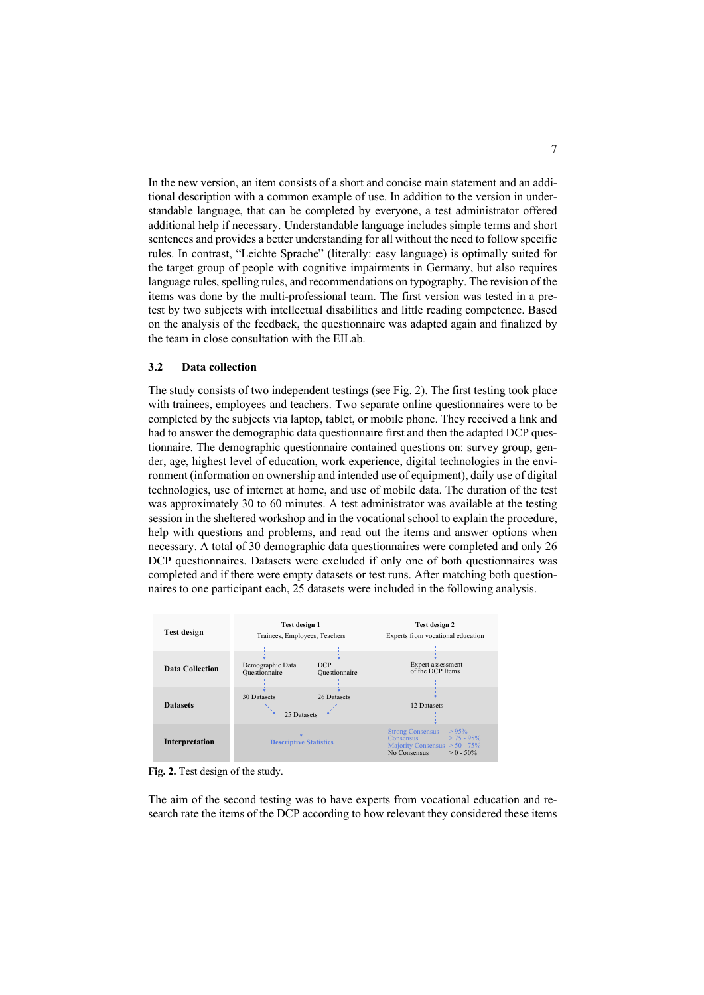In the new version, an item consists of a short and concise main statement and an additional description with a common example of use. In addition to the version in understandable language, that can be completed by everyone, a test administrator offered additional help if necessary. Understandable language includes simple terms and short sentences and provides a better understanding for all without the need to follow specific rules. In contrast, "Leichte Sprache" (literally: easy language) is optimally suited for the target group of people with cognitive impairments in Germany, but also requires language rules, spelling rules, and recommendations on typography. The revision of the items was done by the multi-professional team. The first version was tested in a pretest by two subjects with intellectual disabilities and little reading competence. Based on the analysis of the feedback, the questionnaire was adapted again and finalized by the team in close consultation with the EILab.

## **3.2 Data collection**

The study consists of two independent testings (see Fig. 2). The first testing took place with trainees, employees and teachers. Two separate online questionnaires were to be completed by the subjects via laptop, tablet, or mobile phone. They received a link and had to answer the demographic data questionnaire first and then the adapted DCP questionnaire. The demographic questionnaire contained questions on: survey group, gender, age, highest level of education, work experience, digital technologies in the environment (information on ownership and intended use of equipment), daily use of digital technologies, use of internet at home, and use of mobile data. The duration of the test was approximately 30 to 60 minutes. A test administrator was available at the testing session in the sheltered workshop and in the vocational school to explain the procedure, help with questions and problems, and read out the items and answer options when necessary. A total of 30 demographic data questionnaires were completed and only 26 DCP questionnaires. Datasets were excluded if only one of both questionnaires was completed and if there were empty datasets or test runs. After matching both questionnaires to one participant each, 25 datasets were included in the following analysis.



**Fig. 2.** Test design of the study.

The aim of the second testing was to have experts from vocational education and research rate the items of the DCP according to how relevant they considered these items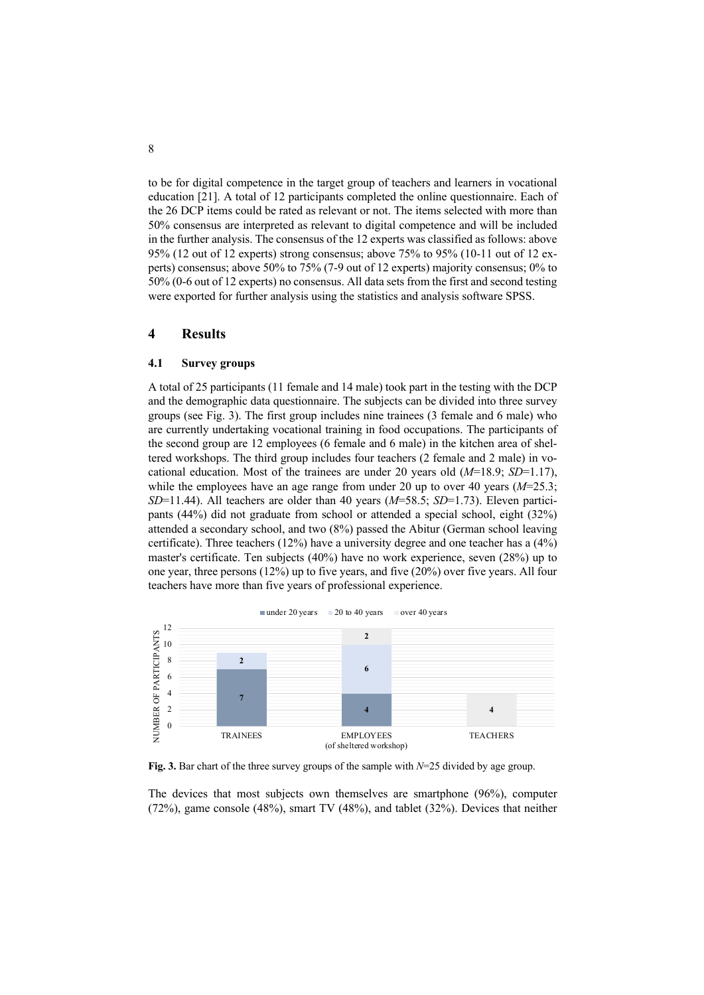to be for digital competence in the target group of teachers and learners in vocational education [21]. A total of 12 participants completed the online questionnaire. Each of the 26 DCP items could be rated as relevant or not. The items selected with more than 50% consensus are interpreted as relevant to digital competence and will be included in the further analysis. The consensus of the 12 experts was classified as follows: above 95% (12 out of 12 experts) strong consensus; above 75% to 95% (10-11 out of 12 experts) consensus; above 50% to 75% (7-9 out of 12 experts) majority consensus; 0% to 50% (0-6 out of 12 experts) no consensus. All data sets from the first and second testing were exported for further analysis using the statistics and analysis software SPSS.

# **4 Results**

#### **4.1 Survey groups**

A total of 25 participants (11 female and 14 male) took part in the testing with the DCP and the demographic data questionnaire. The subjects can be divided into three survey groups (see Fig. 3). The first group includes nine trainees (3 female and 6 male) who are currently undertaking vocational training in food occupations. The participants of the second group are 12 employees (6 female and 6 male) in the kitchen area of sheltered workshops. The third group includes four teachers (2 female and 2 male) in vocational education. Most of the trainees are under 20 years old (*M*=18.9; *SD*=1.17), while the employees have an age range from under 20 up to over 40 years ( $M=25.3$ ; *SD*=11.44). All teachers are older than 40 years (*M*=58.5; *SD*=1.73). Eleven participants (44%) did not graduate from school or attended a special school, eight (32%) attended a secondary school, and two (8%) passed the Abitur (German school leaving certificate). Three teachers (12%) have a university degree and one teacher has a (4%) master's certificate. Ten subjects (40%) have no work experience, seven (28%) up to one year, three persons (12%) up to five years, and five (20%) over five years. All four teachers have more than five years of professional experience.



**Fig. 3.** Bar chart of the three survey groups of the sample with *N*=25 divided by age group.

The devices that most subjects own themselves are smartphone (96%), computer (72%), game console (48%), smart TV (48%), and tablet (32%). Devices that neither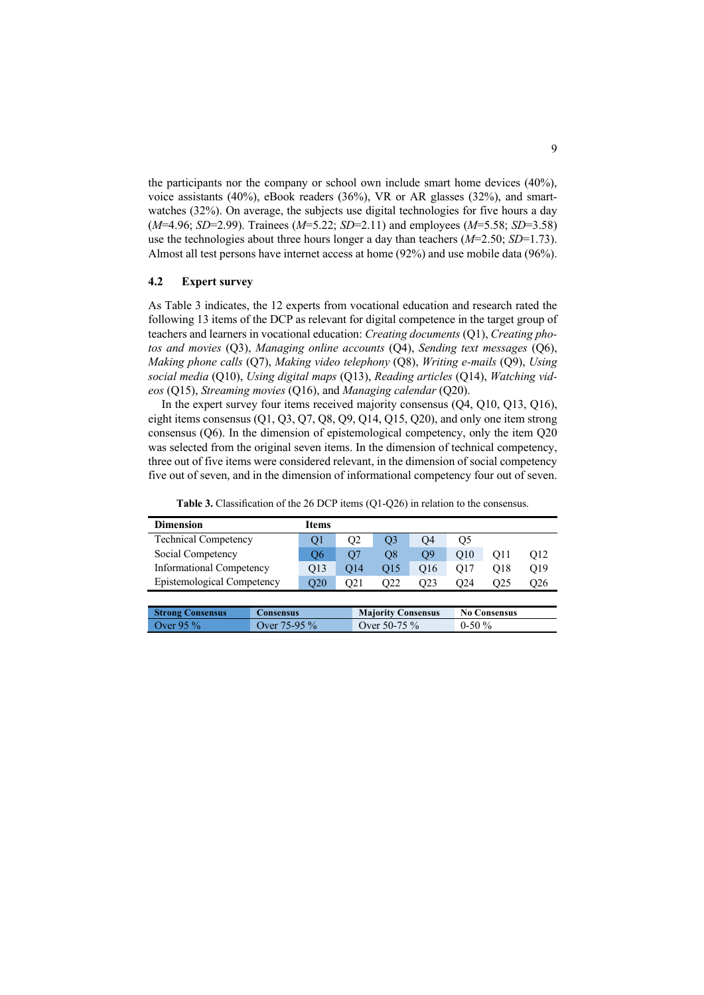the participants nor the company or school own include smart home devices (40%), voice assistants (40%), eBook readers (36%), VR or AR glasses (32%), and smartwatches (32%). On average, the subjects use digital technologies for five hours a day (*M*=4.96; *SD*=2.99). Trainees (*M*=5.22; *SD*=2.11) and employees (*M*=5.58; *SD*=3.58) use the technologies about three hours longer a day than teachers (*M*=2.50; *SD*=1.73). Almost all test persons have internet access at home (92%) and use mobile data (96%).

## **4.2 Expert survey**

 $Strong Consens$ 

As Table 3 indicates, the 12 experts from vocational education and research rated the following 13 items of the DCP as relevant for digital competence in the target group of teachers and learners in vocational education: *Creating documents* (Q1), *Creating photos and movies* (Q3), *Managing online accounts* (Q4), *Sending text messages* (Q6), *Making phone calls* (Q7), *Making video telephony* (Q8), *Writing e-mails* (Q9), *Using social media* (Q10), *Using digital maps* (Q13), *Reading articles* (Q14), *Watching videos* (Q15), *Streaming movies* (Q16), and *Managing calendar* (Q20).

In the expert survey four items received majority consensus (Q4, Q10, Q13, Q16), eight items consensus (Q1, Q3, Q7, Q8, Q9, Q14, Q15, Q20), and only one item strong consensus (Q6). In the dimension of epistemological competency, only the item Q20 was selected from the original seven items. In the dimension of technical competency, three out of five items were considered relevant, in the dimension of social competency five out of seven, and in the dimension of informational competency four out of seven.

| <b>Dimension</b>                | <b>Items</b> |                 |                 |                 |                 |     |     |
|---------------------------------|--------------|-----------------|-----------------|-----------------|-----------------|-----|-----|
| <b>Technical Competency</b>     | O1           | O2              | O <sub>3</sub>  | O4              | Q5              |     |     |
| Social Competency               | Ο6           | O7              | O8              | O9              | O <sub>10</sub> | O11 | O12 |
| <b>Informational Competency</b> | O13          | O <sub>14</sub> | O <sub>15</sub> | O <sub>16</sub> | O17             | O18 | O19 |
| Epistemological Competency      | O20          | O21             | O22             | O23             | O24             | O25 | O26 |
|                                 |              |                 |                 |                 |                 |     |     |

Over 95 % Over 75-95 % Over 50-75 % 0-50 %

**Table 3.** Classification of the 26 DCP items (Q1-Q26) in relation to the consensus.

| 'Anconelle |  | Majority Consensus |  | No Consensus |  |
|------------|--|--------------------|--|--------------|--|
|            |  |                    |  |              |  |
|            |  |                    |  |              |  |
|            |  |                    |  |              |  |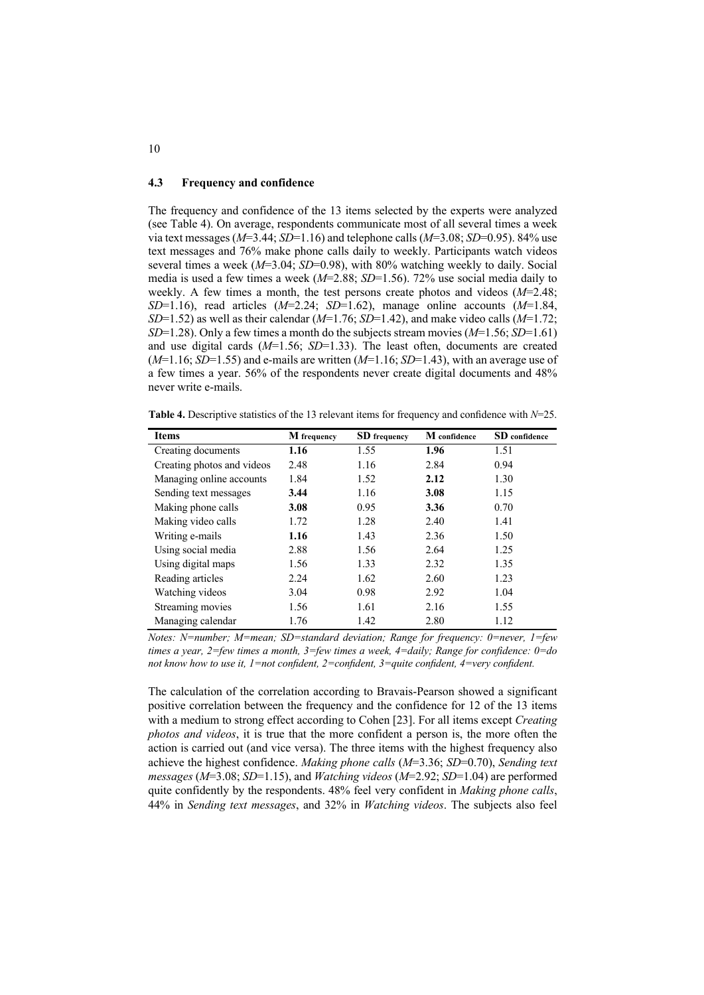### **4.3 Frequency and confidence**

The frequency and confidence of the 13 items selected by the experts were analyzed (see Table 4). On average, respondents communicate most of all several times a week via text messages (*M*=3.44; *SD*=1.16) and telephone calls (*M*=3.08; *SD*=0.95). 84% use text messages and 76% make phone calls daily to weekly. Participants watch videos several times a week (*M*=3.04; *SD*=0.98), with 80% watching weekly to daily. Social media is used a few times a week (*M*=2.88; *SD*=1.56). 72% use social media daily to weekly. A few times a month, the test persons create photos and videos (*M*=2.48; *SD*=1.16), read articles (*M*=2.24; *SD*=1.62), manage online accounts (*M*=1.84, *SD*=1.52) as well as their calendar (*M*=1.76; *SD*=1.42), and make video calls (*M*=1.72; *SD*=1.28). Only a few times a month do the subjects stream movies (*M*=1.56; *SD*=1.61) and use digital cards (*M*=1.56; *SD*=1.33). The least often, documents are created (*M*=1.16; *SD*=1.55) and e-mails are written (*M*=1.16; *SD*=1.43), with an average use of a few times a year. 56% of the respondents never create digital documents and 48% never write e-mails.

**Table 4.** Descriptive statistics of the 13 relevant items for frequency and confidence with *N*=25.

| <b>Items</b>               | M frequency | <b>SD</b> frequency | M confidence | SD confidence |
|----------------------------|-------------|---------------------|--------------|---------------|
| Creating documents         | 1.16        | 1.55                | 1.96         | 1.51          |
| Creating photos and videos | 2.48        | 1.16                | 2.84         | 0.94          |
| Managing online accounts   | 1.84        | 1.52                | 2.12         | 1.30          |
| Sending text messages      | 3.44        | 1.16                | 3.08         | 1.15          |
| Making phone calls         | 3.08        | 0.95                | 3.36         | 0.70          |
| Making video calls         | 1.72        | 1.28                | 2.40         | 1.41          |
| Writing e-mails            | 1.16        | 1.43                | 2.36         | 1.50          |
| Using social media         | 2.88        | 1.56                | 2.64         | 1.25          |
| Using digital maps         | 1.56        | 1.33                | 2.32         | 1.35          |
| Reading articles           | 2.24        | 1.62                | 2.60         | 1.23          |
| Watching videos            | 3.04        | 0.98                | 2.92         | 1.04          |
| Streaming movies           | 1.56        | 1.61                | 2.16         | 1.55          |
| Managing calendar          | 1.76        | 1.42                | 2.80         | 1.12          |

*Notes: N=number; M=mean; SD=standard deviation; Range for frequency: 0=never, 1=few times a year, 2=few times a month, 3=few times a week, 4=daily; Range for confidence: 0=do not know how to use it, 1=not confident, 2=confident, 3=quite confident, 4=very confident.*

The calculation of the correlation according to Bravais-Pearson showed a significant positive correlation between the frequency and the confidence for 12 of the 13 items with a medium to strong effect according to Cohen [23]. For all items except *Creating photos and videos*, it is true that the more confident a person is, the more often the action is carried out (and vice versa). The three items with the highest frequency also achieve the highest confidence. *Making phone calls* (*M*=3.36; *SD*=0.70), *Sending text messages* (*M*=3.08; *SD*=1.15), and *Watching videos* (*M*=2.92; *SD*=1.04) are performed quite confidently by the respondents. 48% feel very confident in *Making phone calls*, 44% in *Sending text messages*, and 32% in *Watching videos*. The subjects also feel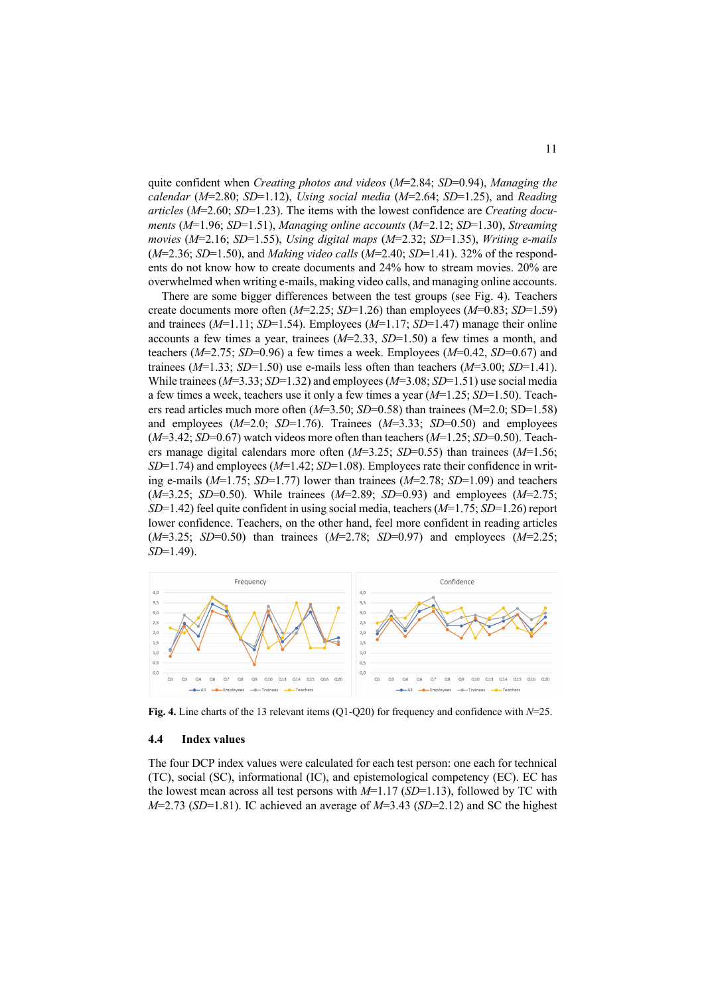quite confident when *Creating photos and videos* (*M*=2.84; *SD*=0.94), *Managing the calendar* (*M*=2.80; *SD*=1.12), *Using social media* (*M*=2.64; *SD*=1.25), and *Reading articles* (*M*=2.60; *SD*=1.23). The items with the lowest confidence are *Creating documents* (*M*=1.96; *SD*=1.51), *Managing online accounts* (*M*=2.12; *SD*=1.30), *Streaming movies* (*M*=2.16; *SD*=1.55), *Using digital maps* (*M*=2.32; *SD*=1.35), *Writing e-mails* (*M*=2.36; *SD*=1.50), and *Making video calls* (*M*=2.40; *SD*=1.41). 32% of the respondents do not know how to create documents and 24% how to stream movies. 20% are overwhelmed when writing e-mails, making video calls, and managing online accounts.

There are some bigger differences between the test groups (see Fig. 4). Teachers create documents more often (*M*=2.25; *SD*=1.26) than employees (*M*=0.83; *SD*=1.59) and trainees (*M*=1.11; *SD*=1.54). Employees (*M*=1.17; *SD*=1.47) manage their online accounts a few times a year, trainees (*M*=2.33, *SD*=1.50) a few times a month, and teachers (*M*=2.75; *SD*=0.96) a few times a week. Employees (*M*=0.42, *SD*=0.67) and trainees (*M*=1.33; *SD*=1.50) use e-mails less often than teachers (*M*=3.00; *SD*=1.41). While trainees (*M*=3.33; *SD*=1.32) and employees (*M*=3.08; *SD*=1.51) use social media a few times a week, teachers use it only a few times a year (*M*=1.25; *SD*=1.50). Teachers read articles much more often (*M*=3.50; *SD*=0.58) than trainees (M=2.0; SD=1.58) and employees (*M*=2.0; *SD*=1.76). Trainees (*M*=3.33; *SD*=0.50) and employees (*M*=3.42; *SD*=0.67) watch videos more often than teachers (*M*=1.25; *SD*=0.50). Teachers manage digital calendars more often (*M*=3.25; *SD*=0.55) than trainees (*M*=1.56; *SD*=1.74) and employees (*M*=1.42; *SD*=1.08). Employees rate their confidence in writing e-mails (*M*=1.75; *SD*=1.77) lower than trainees (*M*=2.78; *SD*=1.09) and teachers (*M*=3.25; *SD*=0.50). While trainees (*M*=2.89; *SD*=0.93) and employees (*M*=2.75; *SD*=1.42) feel quite confident in using social media, teachers (*M*=1.75; *SD*=1.26) report lower confidence. Teachers, on the other hand, feel more confident in reading articles (*M*=3.25; *SD*=0.50) than trainees (*M*=2.78; *SD*=0.97) and employees (*M*=2.25; *SD*=1.49).



**Fig. 4.** Line charts of the 13 relevant items (Q1-Q20) for frequency and confidence with *N*=25.

## **4.4 Index values**

The four DCP index values were calculated for each test person: one each for technical (TC), social (SC), informational (IC), and epistemological competency (EC). EC has the lowest mean across all test persons with *M*=1.17 (*SD*=1.13), followed by TC with *M*=2.73 (*SD*=1.81). IC achieved an average of *M*=3.43 (*SD*=2.12) and SC the highest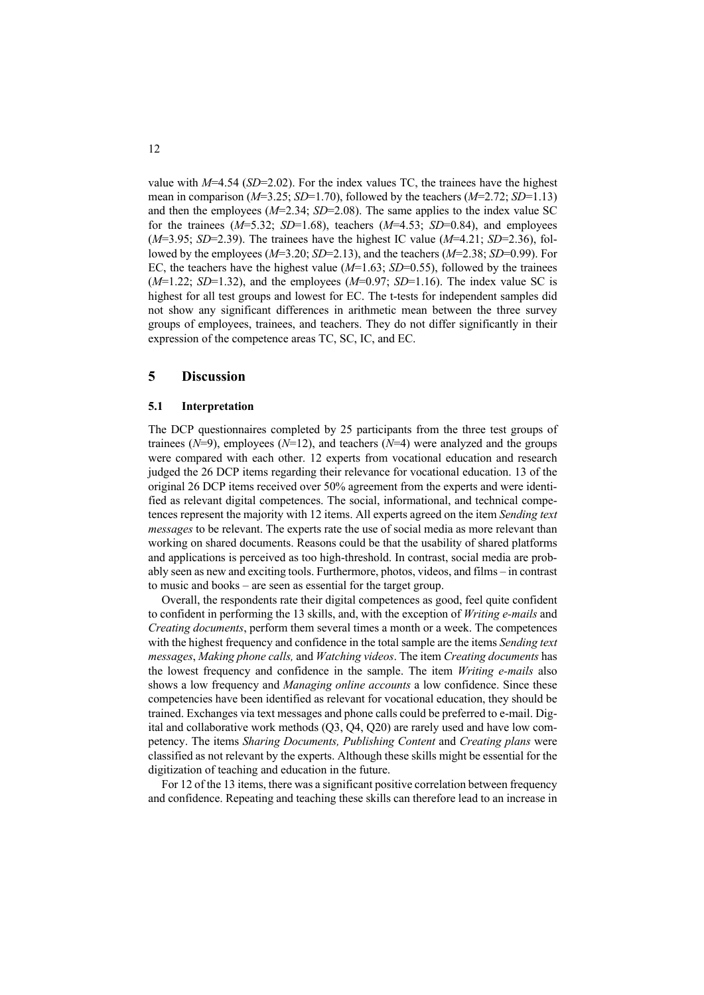value with  $M=4.54$  (*SD*=2.02). For the index values TC, the trainees have the highest mean in comparison (*M*=3.25; *SD*=1.70), followed by the teachers (*M*=2.72; *SD*=1.13) and then the employees (*M*=2.34; *SD*=2.08). The same applies to the index value SC for the trainees (*M*=5.32; *SD*=1.68), teachers (*M*=4.53; *SD*=0.84), and employees (*M*=3.95; *SD*=2.39). The trainees have the highest IC value (*M*=4.21; *SD*=2.36), followed by the employees (*M*=3.20; *SD*=2.13), and the teachers (*M*=2.38; *SD*=0.99). For EC, the teachers have the highest value  $(M=1.63; SD=0.55)$ , followed by the trainees (*M*=1.22; *SD*=1.32), and the employees (*M*=0.97; *SD*=1.16). The index value SC is highest for all test groups and lowest for EC. The t-tests for independent samples did not show any significant differences in arithmetic mean between the three survey groups of employees, trainees, and teachers. They do not differ significantly in their expression of the competence areas TC, SC, IC, and EC.

# **5 Discussion**

#### **5.1 Interpretation**

The DCP questionnaires completed by 25 participants from the three test groups of trainees  $(N=9)$ , employees  $(N=12)$ , and teachers  $(N=4)$  were analyzed and the groups were compared with each other. 12 experts from vocational education and research judged the 26 DCP items regarding their relevance for vocational education. 13 of the original 26 DCP items received over 50% agreement from the experts and were identified as relevant digital competences. The social, informational, and technical competences represent the majority with 12 items. All experts agreed on the item *Sending text messages* to be relevant. The experts rate the use of social media as more relevant than working on shared documents. Reasons could be that the usability of shared platforms and applications is perceived as too high-threshold. In contrast, social media are probably seen as new and exciting tools. Furthermore, photos, videos, and films – in contrast to music and books – are seen as essential for the target group.

Overall, the respondents rate their digital competences as good, feel quite confident to confident in performing the 13 skills, and, with the exception of *Writing e-mails* and *Creating documents*, perform them several times a month or a week. The competences with the highest frequency and confidence in the total sample are the items *Sending text messages*, *Making phone calls,* and *Watching videos*. The item *Creating documents* has the lowest frequency and confidence in the sample. The item *Writing e-mails* also shows a low frequency and *Managing online accounts* a low confidence. Since these competencies have been identified as relevant for vocational education, they should be trained. Exchanges via text messages and phone calls could be preferred to e-mail. Digital and collaborative work methods (Q3, Q4, Q20) are rarely used and have low competency. The items *Sharing Documents, Publishing Content* and *Creating plans* were classified as not relevant by the experts. Although these skills might be essential for the digitization of teaching and education in the future.

For 12 of the 13 items, there was a significant positive correlation between frequency and confidence. Repeating and teaching these skills can therefore lead to an increase in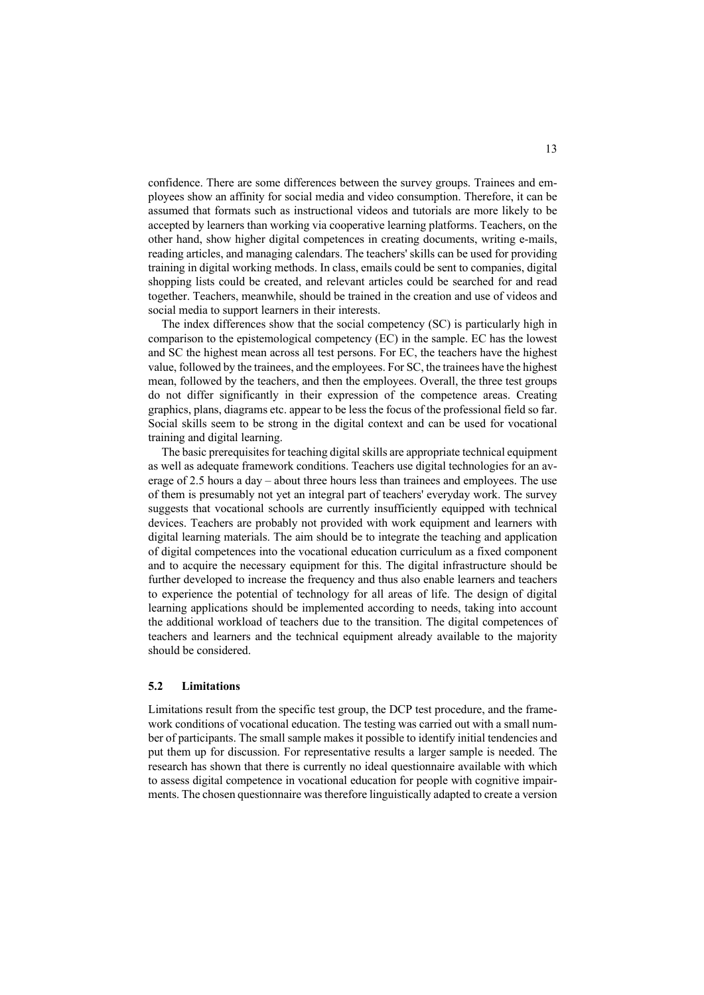confidence. There are some differences between the survey groups. Trainees and employees show an affinity for social media and video consumption. Therefore, it can be assumed that formats such as instructional videos and tutorials are more likely to be accepted by learners than working via cooperative learning platforms. Teachers, on the other hand, show higher digital competences in creating documents, writing e-mails, reading articles, and managing calendars. The teachers' skills can be used for providing training in digital working methods. In class, emails could be sent to companies, digital shopping lists could be created, and relevant articles could be searched for and read together. Teachers, meanwhile, should be trained in the creation and use of videos and social media to support learners in their interests.

The index differences show that the social competency (SC) is particularly high in comparison to the epistemological competency (EC) in the sample. EC has the lowest and SC the highest mean across all test persons. For EC, the teachers have the highest value, followed by the trainees, and the employees. For SC, the trainees have the highest mean, followed by the teachers, and then the employees. Overall, the three test groups do not differ significantly in their expression of the competence areas. Creating graphics, plans, diagrams etc. appear to be less the focus of the professional field so far. Social skills seem to be strong in the digital context and can be used for vocational training and digital learning.

The basic prerequisites for teaching digital skills are appropriate technical equipment as well as adequate framework conditions. Teachers use digital technologies for an average of 2.5 hours a day – about three hours less than trainees and employees. The use of them is presumably not yet an integral part of teachers' everyday work. The survey suggests that vocational schools are currently insufficiently equipped with technical devices. Teachers are probably not provided with work equipment and learners with digital learning materials. The aim should be to integrate the teaching and application of digital competences into the vocational education curriculum as a fixed component and to acquire the necessary equipment for this. The digital infrastructure should be further developed to increase the frequency and thus also enable learners and teachers to experience the potential of technology for all areas of life. The design of digital learning applications should be implemented according to needs, taking into account the additional workload of teachers due to the transition. The digital competences of teachers and learners and the technical equipment already available to the majority should be considered.

## **5.2 Limitations**

Limitations result from the specific test group, the DCP test procedure, and the framework conditions of vocational education. The testing was carried out with a small number of participants. The small sample makes it possible to identify initial tendencies and put them up for discussion. For representative results a larger sample is needed. The research has shown that there is currently no ideal questionnaire available with which to assess digital competence in vocational education for people with cognitive impairments. The chosen questionnaire was therefore linguistically adapted to create a version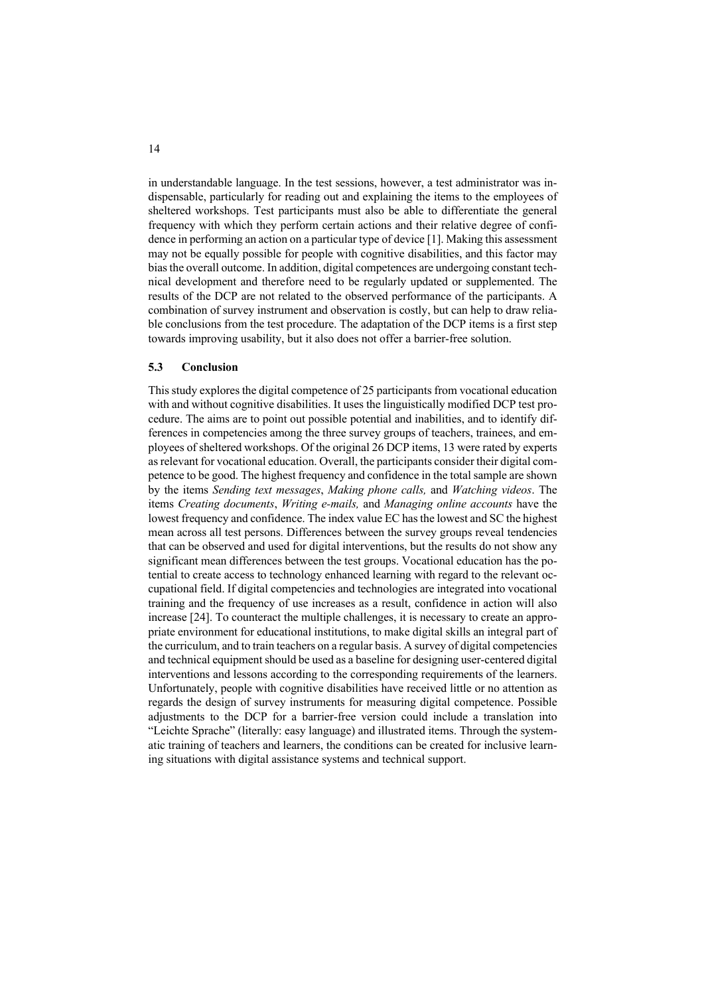in understandable language. In the test sessions, however, a test administrator was indispensable, particularly for reading out and explaining the items to the employees of sheltered workshops. Test participants must also be able to differentiate the general frequency with which they perform certain actions and their relative degree of confidence in performing an action on a particular type of device [1]. Making this assessment may not be equally possible for people with cognitive disabilities, and this factor may bias the overall outcome. In addition, digital competences are undergoing constant technical development and therefore need to be regularly updated or supplemented. The results of the DCP are not related to the observed performance of the participants. A combination of survey instrument and observation is costly, but can help to draw reliable conclusions from the test procedure. The adaptation of the DCP items is a first step towards improving usability, but it also does not offer a barrier-free solution.

#### **5.3 Conclusion**

This study explores the digital competence of 25 participants from vocational education with and without cognitive disabilities. It uses the linguistically modified DCP test procedure. The aims are to point out possible potential and inabilities, and to identify differences in competencies among the three survey groups of teachers, trainees, and employees of sheltered workshops. Of the original 26 DCP items, 13 were rated by experts as relevant for vocational education. Overall, the participants consider their digital competence to be good. The highest frequency and confidence in the total sample are shown by the items *Sending text messages*, *Making phone calls,* and *Watching videos*. The items *Creating documents*, *Writing e-mails,* and *Managing online accounts* have the lowest frequency and confidence. The index value EC has the lowest and SC the highest mean across all test persons. Differences between the survey groups reveal tendencies that can be observed and used for digital interventions, but the results do not show any significant mean differences between the test groups. Vocational education has the potential to create access to technology enhanced learning with regard to the relevant occupational field. If digital competencies and technologies are integrated into vocational training and the frequency of use increases as a result, confidence in action will also increase [24]. To counteract the multiple challenges, it is necessary to create an appropriate environment for educational institutions, to make digital skills an integral part of the curriculum, and to train teachers on a regular basis. A survey of digital competencies and technical equipment should be used as a baseline for designing user-centered digital interventions and lessons according to the corresponding requirements of the learners. Unfortunately, people with cognitive disabilities have received little or no attention as regards the design of survey instruments for measuring digital competence. Possible adjustments to the DCP for a barrier-free version could include a translation into "Leichte Sprache" (literally: easy language) and illustrated items. Through the systematic training of teachers and learners, the conditions can be created for inclusive learning situations with digital assistance systems and technical support.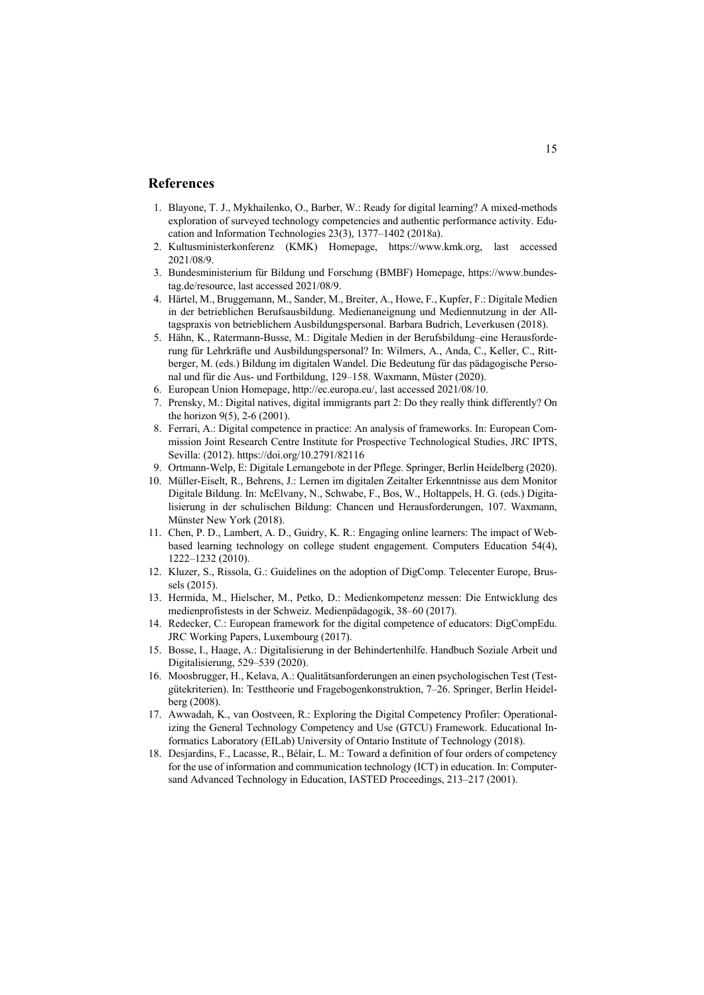# **References**

- 1. Blayone, T. J., Mykhailenko, O., Barber, W.: Ready for digital learning? A mixed-methods exploration of surveyed technology competencies and authentic performance activity. Education and Information Technologies 23(3), 1377–1402 (2018a).
- 2. Kultusministerkonferenz (KMK) Homepage, https://www.kmk.org, last accessed 2021/08/9.
- 3. Bundesministerium für Bildung und Forschung (BMBF) Homepage, https://www.bundestag.de/resource, last accessed 2021/08/9.
- 4. Härtel, M., Bruggemann, M., Sander, M., Breiter, A., Howe, F., Kupfer, F.: Digitale Medien in der betrieblichen Berufsausbildung. Medienaneignung und Mediennutzung in der Alltagspraxis von betrieblichem Ausbildungspersonal. Barbara Budrich, Leverkusen (2018).
- 5. Hähn, K., Ratermann-Busse, M.: Digitale Medien in der Berufsbildung–eine Herausforderung für Lehrkräfte und Ausbildungspersonal? In: Wilmers, A., Anda, C., Keller, C., Rittberger, M. (eds.) Bildung im digitalen Wandel. Die Bedeutung für das pädagogische Personal und für die Aus- und Fortbildung, 129–158. Waxmann, Müster (2020).
- 6. European Union Homepage, http://ec.europa.eu/, last accessed 2021/08/10.
- 7. Prensky, M.: Digital natives, digital immigrants part 2: Do they really think differently? On the horizon 9(5), 2-6 (2001).
- 8. Ferrari, A.: Digital competence in practice: An analysis of frameworks. In: European Commission Joint Research Centre Institute for Prospective Technological Studies, JRC IPTS, Sevilla: (2012). https://doi.org/10.2791/82116
- 9. Ortmann-Welp, E: Digitale Lernangebote in der Pflege. Springer, Berlin Heidelberg (2020).
- 10. Müller-Eiselt, R., Behrens, J.: Lernen im digitalen Zeitalter Erkenntnisse aus dem Monitor Digitale Bildung. In: McElvany, N., Schwabe, F., Bos, W., Holtappels, H. G. (eds.) Digitalisierung in der schulischen Bildung: Chancen und Herausforderungen, 107. Waxmann, Münster New York (2018).
- 11. Chen, P. D., Lambert, A. D., Guidry, K. R.: Engaging online learners: The impact of Webbased learning technology on college student engagement. Computers Education 54(4), 1222–1232 (2010).
- 12. Kluzer, S., Rissola, G.: Guidelines on the adoption of DigComp. Telecenter Europe, Brussels (2015).
- 13. Hermida, M., Hielscher, M., Petko, D.: Medienkompetenz messen: Die Entwicklung des medienprofistests in der Schweiz. Medienpädagogik, 38–60 (2017).
- 14. Redecker, C.: European framework for the digital competence of educators: DigCompEdu. JRC Working Papers, Luxembourg (2017).
- 15. Bosse, I., Haage, A.: Digitalisierung in der Behindertenhilfe. Handbuch Soziale Arbeit und Digitalisierung, 529–539 (2020).
- 16. Moosbrugger, H., Kelava, A.: Qualitätsanforderungen an einen psychologischen Test (Testgütekriterien). In: Testtheorie und Fragebogenkonstruktion, 7–26. Springer, Berlin Heidelberg (2008).
- 17. Awwadah, K., van Oostveen, R.: Exploring the Digital Competency Profiler: Operationalizing the General Technology Competency and Use (GTCU) Framework. Educational Informatics Laboratory (EILab) University of Ontario Institute of Technology (2018).
- 18. Desjardins, F., Lacasse, R., Bélair, L. M.: Toward a definition of four orders of competency for the use of information and communication technology (ICT) in education. In: Computersand Advanced Technology in Education, IASTED Proceedings, 213–217 (2001).